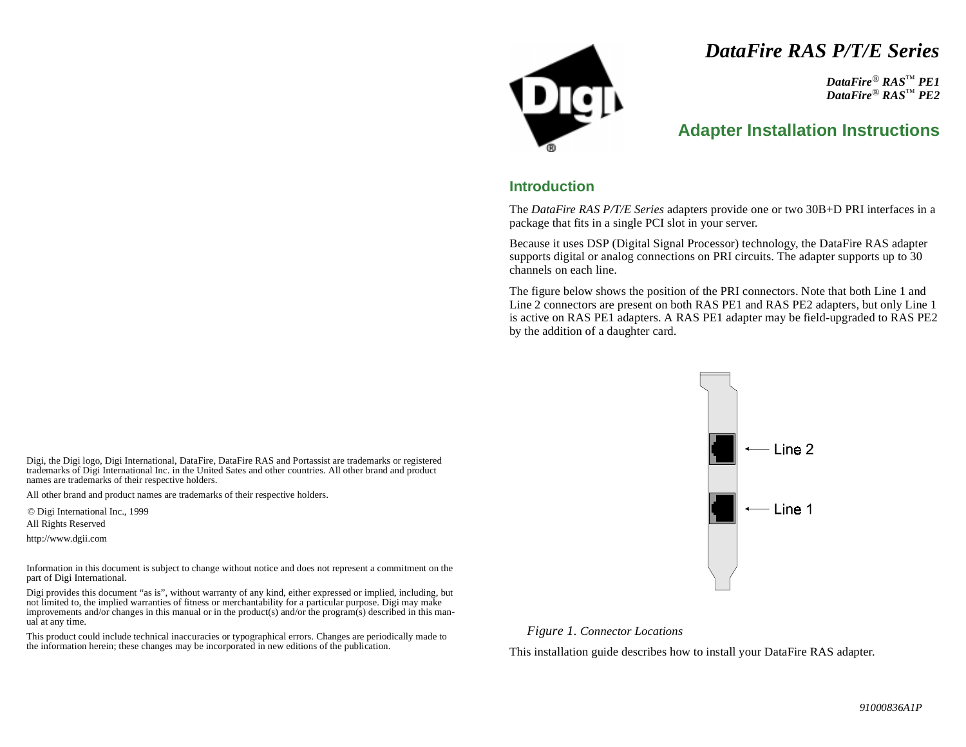# *DataFire RAS P/T/E Series*

*DataFire* ® *RAS* ™ *PE1 DataFire* ® *RAS* ™ *PE2*

## **Adapter Installation Instructions**

### **Introduction**

The *DataFire RAS P/T/E Series* adapters provide one or two 30B+D PRI interfaces in a package that fits in a single PCI slot in your server.

Because it uses DSP (Digital Signal Processor) technology, the DataFire RAS adapter supports digital or analog connections on PRI circuits. The adapter supports up to 30 channels on each line.

The figure below shows the position of the PRI connectors. Note that both Line 1 and Line 2 connectors are present on both RAS PE1 and RAS PE2 adapters, but only Line 1 is active on RAS PE1 adapters. A RAS PE1 adapter may be field-upgraded to RAS PE2 by the addition of a daughter card.



*Figure 1. Connector Locations*

This installation guide describes how to install your DataFire RAS adapter.

Digi, the Digi logo, Digi International, DataFire, DataFire RAS and Portassist are trademarks or registered trademarks of Digi International Inc. in the United Sates and other countries. All other brand and product names are trademarks of their respective holders.

All other brand and product names are trademarks of their respective holders.

© Digi International Inc., 1999

All Rights Reserved

http://www.dgii.com

Information in this document is subject to change without notice and does not represent a commitment on the part of Digi International.

Digi provides this document "as is", without warranty of any kind, either expressed or implied, including, but not limited to, the implied warranties of fitness or merchantability for a particular purpose. Digi may make improvements and/or changes in this manual or in the product(s) and/or the program(s) described in this manual at any time.

This product could include technical inaccuracies or typographical errors. Changes are periodically made to the information herein; these changes may be incorporated in new editions of the publication.